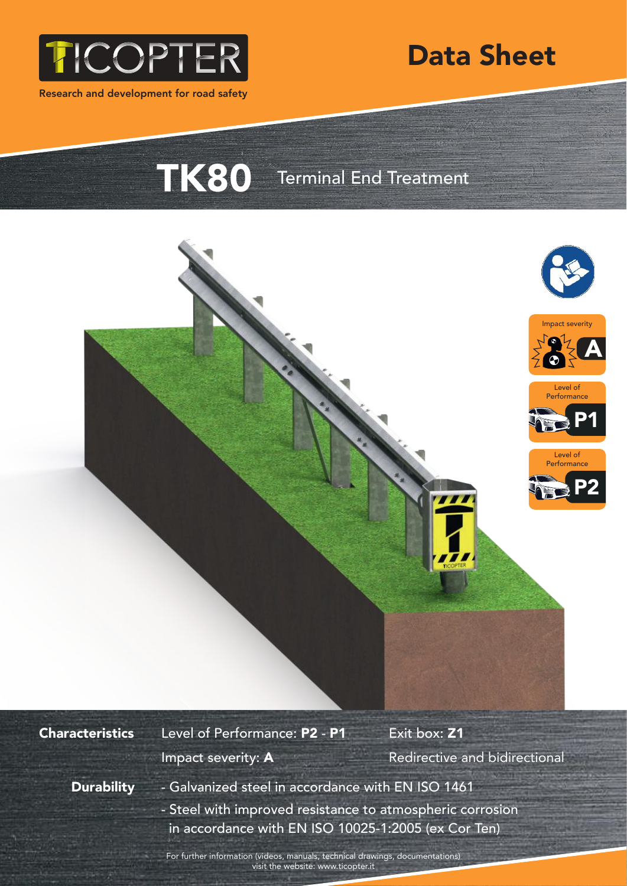

Research and development for road safety



TK80 Terminal End Treatment



## **Characteristics**

Level of Performance: P2 - P1 Exit box: Z1

Impact severity: A **Redirective and bidirectional** 

**Durability** 

- Galvanized steel in accordance with EN ISO 1461 - Steel with improved resistance to atmospheric corrosion in accordance with EN ISO 10025-1:2005 (ex Cor Ten)

For further information (videos, manuals, technical drawings, documentations) visit the website: www.ticopter.it